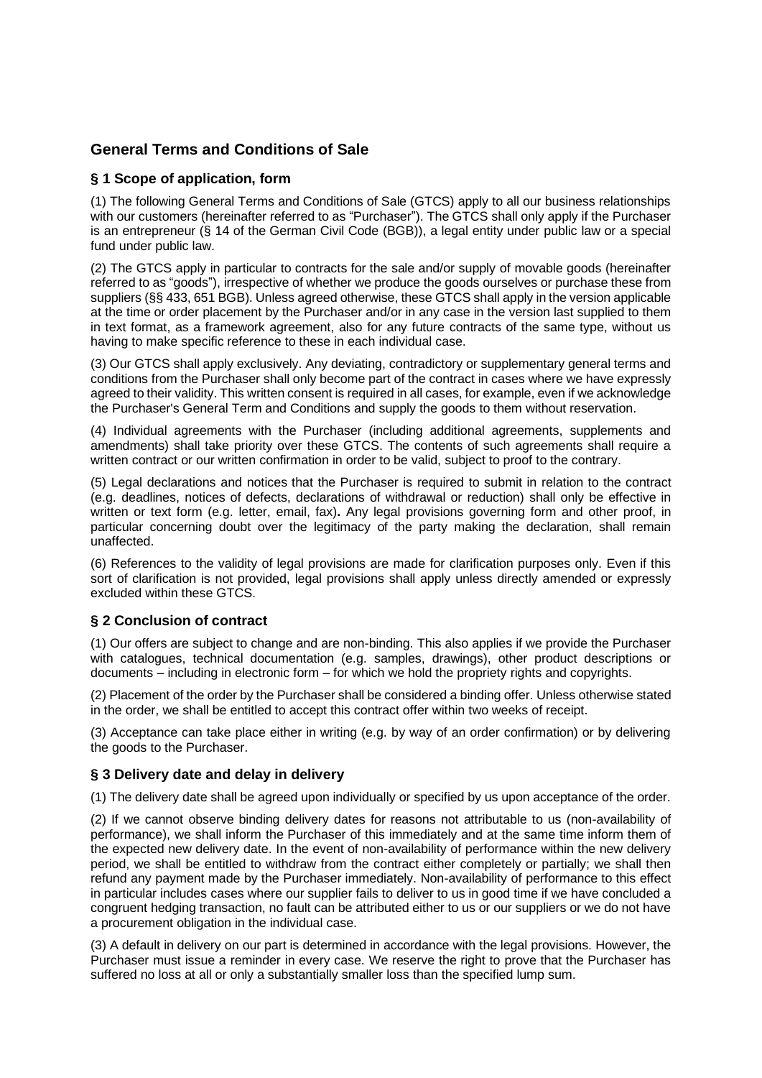# **General Terms and Conditions of Sale**

## **§ 1 Scope of application, form**

(1) The following General Terms and Conditions of Sale (GTCS) apply to all our business relationships with our customers (hereinafter referred to as "Purchaser"). The GTCS shall only apply if the Purchaser is an entrepreneur (§ 14 of the German Civil Code (BGB)), a legal entity under public law or a special fund under public law.

(2) The GTCS apply in particular to contracts for the sale and/or supply of movable goods (hereinafter referred to as "goods"), irrespective of whether we produce the goods ourselves or purchase these from suppliers (§§ 433, 651 BGB). Unless agreed otherwise, these GTCS shall apply in the version applicable at the time or order placement by the Purchaser and/or in any case in the version last supplied to them in text format, as a framework agreement, also for any future contracts of the same type, without us having to make specific reference to these in each individual case.

(3) Our GTCS shall apply exclusively. Any deviating, contradictory or supplementary general terms and conditions from the Purchaser shall only become part of the contract in cases where we have expressly agreed to their validity. This written consent is required in all cases, for example, even if we acknowledge the Purchaser's General Term and Conditions and supply the goods to them without reservation.

(4) Individual agreements with the Purchaser (including additional agreements, supplements and amendments) shall take priority over these GTCS. The contents of such agreements shall require a written contract or our written confirmation in order to be valid, subject to proof to the contrary.

(5) Legal declarations and notices that the Purchaser is required to submit in relation to the contract (e.g. deadlines, notices of defects, declarations of withdrawal or reduction) shall only be effective in written or text form (e.g. letter, email, fax)**.** Any legal provisions governing form and other proof, in particular concerning doubt over the legitimacy of the party making the declaration, shall remain unaffected.

(6) References to the validity of legal provisions are made for clarification purposes only. Even if this sort of clarification is not provided, legal provisions shall apply unless directly amended or expressly excluded within these GTCS.

## **§ 2 Conclusion of contract**

(1) Our offers are subject to change and are non-binding. This also applies if we provide the Purchaser with catalogues, technical documentation (e.g. samples, drawings), other product descriptions or documents – including in electronic form – for which we hold the propriety rights and copyrights.

(2) Placement of the order by the Purchaser shall be considered a binding offer. Unless otherwise stated in the order, we shall be entitled to accept this contract offer within two weeks of receipt.

(3) Acceptance can take place either in writing (e.g. by way of an order confirmation) or by delivering the goods to the Purchaser.

#### **§ 3 Delivery date and delay in delivery**

(1) The delivery date shall be agreed upon individually or specified by us upon acceptance of the order.

(2) If we cannot observe binding delivery dates for reasons not attributable to us (non-availability of performance), we shall inform the Purchaser of this immediately and at the same time inform them of the expected new delivery date. In the event of non-availability of performance within the new delivery period, we shall be entitled to withdraw from the contract either completely or partially; we shall then refund any payment made by the Purchaser immediately. Non-availability of performance to this effect in particular includes cases where our supplier fails to deliver to us in good time if we have concluded a congruent hedging transaction, no fault can be attributed either to us or our suppliers or we do not have a procurement obligation in the individual case.

(3) A default in delivery on our part is determined in accordance with the legal provisions. However, the Purchaser must issue a reminder in every case. We reserve the right to prove that the Purchaser has suffered no loss at all or only a substantially smaller loss than the specified lump sum.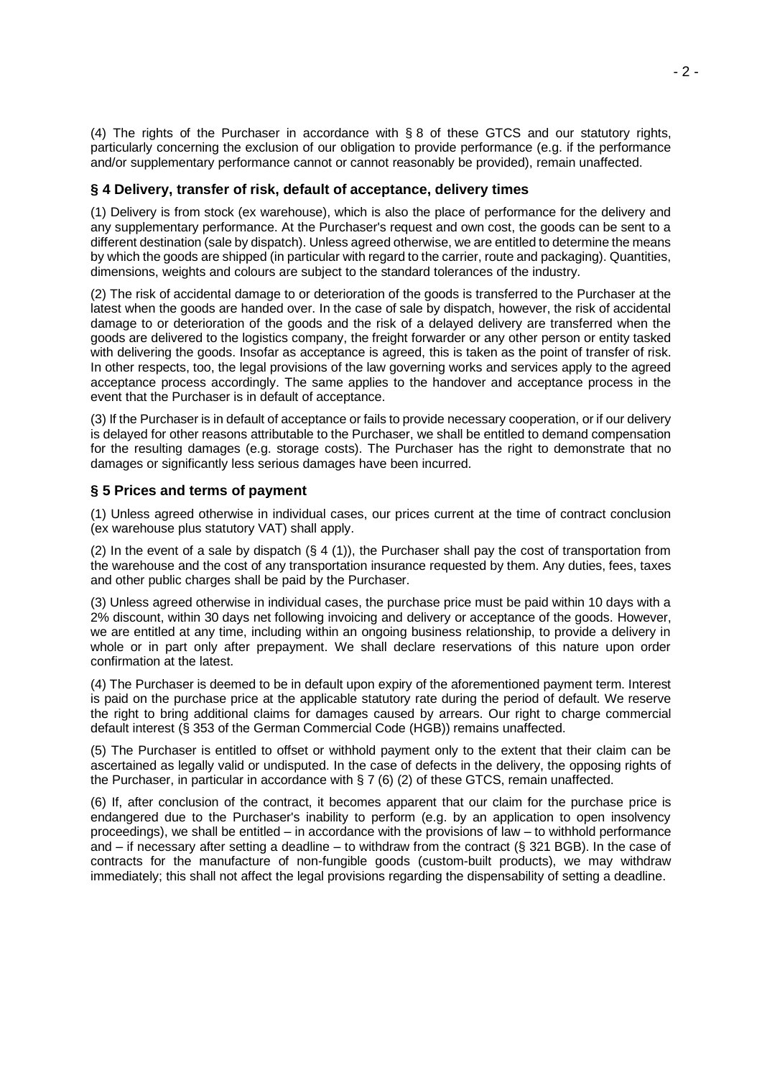(4) The rights of the Purchaser in accordance with § 8 of these GTCS and our statutory rights, particularly concerning the exclusion of our obligation to provide performance (e.g. if the performance and/or supplementary performance cannot or cannot reasonably be provided), remain unaffected.

#### **§ 4 Delivery, transfer of risk, default of acceptance, delivery times**

(1) Delivery is from stock (ex warehouse), which is also the place of performance for the delivery and any supplementary performance. At the Purchaser's request and own cost, the goods can be sent to a different destination (sale by dispatch). Unless agreed otherwise, we are entitled to determine the means by which the goods are shipped (in particular with regard to the carrier, route and packaging). Quantities, dimensions, weights and colours are subject to the standard tolerances of the industry.

(2) The risk of accidental damage to or deterioration of the goods is transferred to the Purchaser at the latest when the goods are handed over. In the case of sale by dispatch, however, the risk of accidental damage to or deterioration of the goods and the risk of a delayed delivery are transferred when the goods are delivered to the logistics company, the freight forwarder or any other person or entity tasked with delivering the goods. Insofar as acceptance is agreed, this is taken as the point of transfer of risk. In other respects, too, the legal provisions of the law governing works and services apply to the agreed acceptance process accordingly. The same applies to the handover and acceptance process in the event that the Purchaser is in default of acceptance.

(3) If the Purchaser is in default of acceptance or fails to provide necessary cooperation, or if our delivery is delayed for other reasons attributable to the Purchaser, we shall be entitled to demand compensation for the resulting damages (e.g. storage costs). The Purchaser has the right to demonstrate that no damages or significantly less serious damages have been incurred.

## **§ 5 Prices and terms of payment**

(1) Unless agreed otherwise in individual cases, our prices current at the time of contract conclusion (ex warehouse plus statutory VAT) shall apply.

(2) In the event of a sale by dispatch  $(\S 4 (1))$ , the Purchaser shall pay the cost of transportation from the warehouse and the cost of any transportation insurance requested by them. Any duties, fees, taxes and other public charges shall be paid by the Purchaser.

(3) Unless agreed otherwise in individual cases, the purchase price must be paid within 10 days with a 2% discount, within 30 days net following invoicing and delivery or acceptance of the goods. However, we are entitled at any time, including within an ongoing business relationship, to provide a delivery in whole or in part only after prepayment. We shall declare reservations of this nature upon order confirmation at the latest.

(4) The Purchaser is deemed to be in default upon expiry of the aforementioned payment term. Interest is paid on the purchase price at the applicable statutory rate during the period of default. We reserve the right to bring additional claims for damages caused by arrears. Our right to charge commercial default interest (§ 353 of the German Commercial Code (HGB)) remains unaffected.

(5) The Purchaser is entitled to offset or withhold payment only to the extent that their claim can be ascertained as legally valid or undisputed. In the case of defects in the delivery, the opposing rights of the Purchaser, in particular in accordance with  $\S 7 (6) (2)$  of these GTCS, remain unaffected.

(6) If, after conclusion of the contract, it becomes apparent that our claim for the purchase price is endangered due to the Purchaser's inability to perform (e.g. by an application to open insolvency proceedings), we shall be entitled – in accordance with the provisions of law – to withhold performance and – if necessary after setting a deadline – to withdraw from the contract (§ 321 BGB). In the case of contracts for the manufacture of non-fungible goods (custom-built products), we may withdraw immediately; this shall not affect the legal provisions regarding the dispensability of setting a deadline.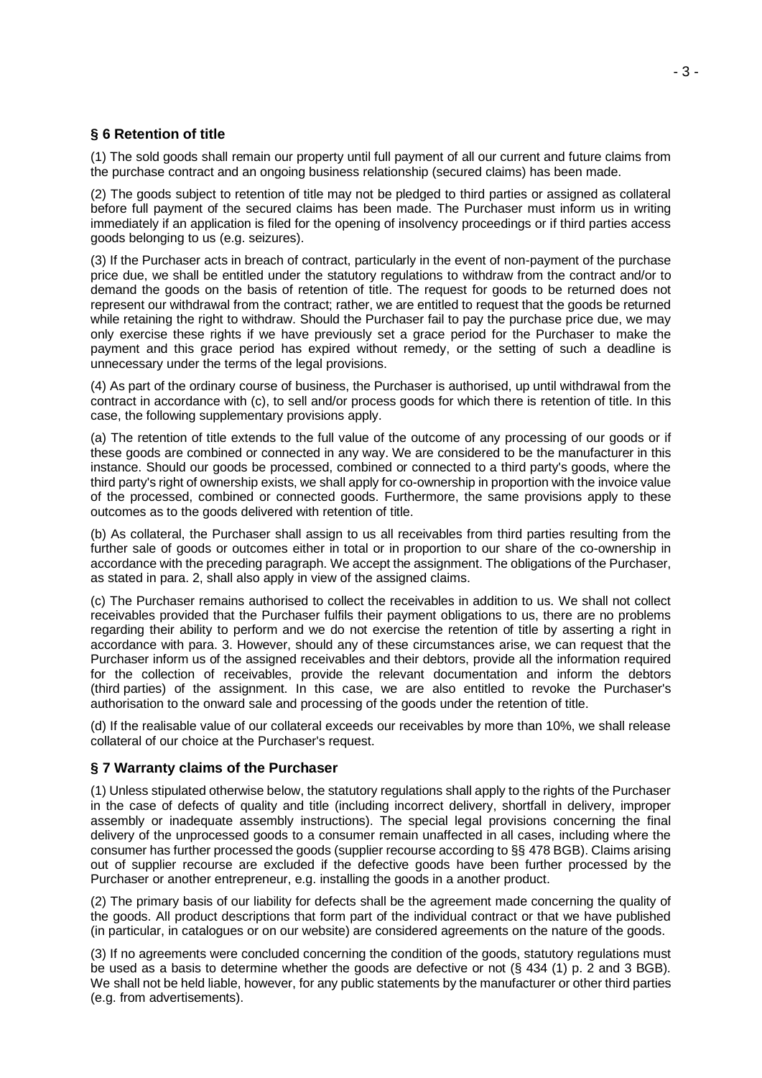# **§ 6 Retention of title**

(1) The sold goods shall remain our property until full payment of all our current and future claims from the purchase contract and an ongoing business relationship (secured claims) has been made.

(2) The goods subject to retention of title may not be pledged to third parties or assigned as collateral before full payment of the secured claims has been made. The Purchaser must inform us in writing immediately if an application is filed for the opening of insolvency proceedings or if third parties access goods belonging to us (e.g. seizures).

(3) If the Purchaser acts in breach of contract, particularly in the event of non-payment of the purchase price due, we shall be entitled under the statutory regulations to withdraw from the contract and/or to demand the goods on the basis of retention of title. The request for goods to be returned does not represent our withdrawal from the contract; rather, we are entitled to request that the goods be returned while retaining the right to withdraw. Should the Purchaser fail to pay the purchase price due, we may only exercise these rights if we have previously set a grace period for the Purchaser to make the payment and this grace period has expired without remedy, or the setting of such a deadline is unnecessary under the terms of the legal provisions.

(4) As part of the ordinary course of business, the Purchaser is authorised, up until withdrawal from the contract in accordance with (c), to sell and/or process goods for which there is retention of title. In this case, the following supplementary provisions apply.

(a) The retention of title extends to the full value of the outcome of any processing of our goods or if these goods are combined or connected in any way. We are considered to be the manufacturer in this instance. Should our goods be processed, combined or connected to a third party's goods, where the third party's right of ownership exists, we shall apply for co-ownership in proportion with the invoice value of the processed, combined or connected goods. Furthermore, the same provisions apply to these outcomes as to the goods delivered with retention of title.

(b) As collateral, the Purchaser shall assign to us all receivables from third parties resulting from the further sale of goods or outcomes either in total or in proportion to our share of the co-ownership in accordance with the preceding paragraph. We accept the assignment. The obligations of the Purchaser, as stated in para. 2, shall also apply in view of the assigned claims.

(c) The Purchaser remains authorised to collect the receivables in addition to us. We shall not collect receivables provided that the Purchaser fulfils their payment obligations to us, there are no problems regarding their ability to perform and we do not exercise the retention of title by asserting a right in accordance with para. 3. However, should any of these circumstances arise, we can request that the Purchaser inform us of the assigned receivables and their debtors, provide all the information required for the collection of receivables, provide the relevant documentation and inform the debtors (third parties) of the assignment. In this case, we are also entitled to revoke the Purchaser's authorisation to the onward sale and processing of the goods under the retention of title.

(d) If the realisable value of our collateral exceeds our receivables by more than 10%, we shall release collateral of our choice at the Purchaser's request.

## **§ 7 Warranty claims of the Purchaser**

(1) Unless stipulated otherwise below, the statutory regulations shall apply to the rights of the Purchaser in the case of defects of quality and title (including incorrect delivery, shortfall in delivery, improper assembly or inadequate assembly instructions). The special legal provisions concerning the final delivery of the unprocessed goods to a consumer remain unaffected in all cases, including where the consumer has further processed the goods (supplier recourse according to §§ 478 BGB). Claims arising out of supplier recourse are excluded if the defective goods have been further processed by the Purchaser or another entrepreneur, e.g. installing the goods in a another product.

(2) The primary basis of our liability for defects shall be the agreement made concerning the quality of the goods. All product descriptions that form part of the individual contract or that we have published (in particular, in catalogues or on our website) are considered agreements on the nature of the goods.

(3) If no agreements were concluded concerning the condition of the goods, statutory regulations must be used as a basis to determine whether the goods are defective or not (§ 434 (1) p. 2 and 3 BGB). We shall not be held liable, however, for any public statements by the manufacturer or other third parties (e.g. from advertisements).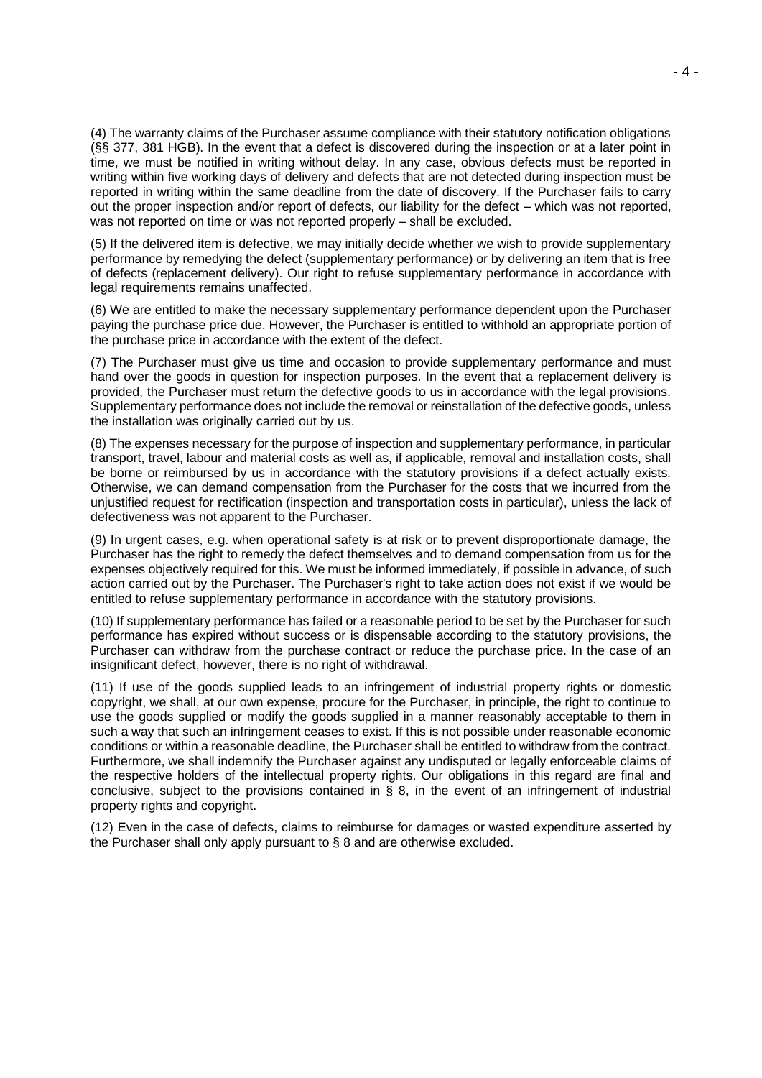(4) The warranty claims of the Purchaser assume compliance with their statutory notification obligations (§§ 377, 381 HGB). In the event that a defect is discovered during the inspection or at a later point in time, we must be notified in writing without delay. In any case, obvious defects must be reported in writing within five working days of delivery and defects that are not detected during inspection must be reported in writing within the same deadline from the date of discovery. If the Purchaser fails to carry out the proper inspection and/or report of defects, our liability for the defect – which was not reported, was not reported on time or was not reported properly – shall be excluded.

(5) If the delivered item is defective, we may initially decide whether we wish to provide supplementary performance by remedying the defect (supplementary performance) or by delivering an item that is free of defects (replacement delivery). Our right to refuse supplementary performance in accordance with legal requirements remains unaffected.

(6) We are entitled to make the necessary supplementary performance dependent upon the Purchaser paying the purchase price due. However, the Purchaser is entitled to withhold an appropriate portion of the purchase price in accordance with the extent of the defect.

(7) The Purchaser must give us time and occasion to provide supplementary performance and must hand over the goods in question for inspection purposes. In the event that a replacement delivery is provided, the Purchaser must return the defective goods to us in accordance with the legal provisions. Supplementary performance does not include the removal or reinstallation of the defective goods, unless the installation was originally carried out by us.

(8) The expenses necessary for the purpose of inspection and supplementary performance, in particular transport, travel, labour and material costs as well as, if applicable, removal and installation costs, shall be borne or reimbursed by us in accordance with the statutory provisions if a defect actually exists. Otherwise, we can demand compensation from the Purchaser for the costs that we incurred from the unjustified request for rectification (inspection and transportation costs in particular), unless the lack of defectiveness was not apparent to the Purchaser.

(9) In urgent cases, e.g. when operational safety is at risk or to prevent disproportionate damage, the Purchaser has the right to remedy the defect themselves and to demand compensation from us for the expenses objectively required for this. We must be informed immediately, if possible in advance, of such action carried out by the Purchaser. The Purchaser's right to take action does not exist if we would be entitled to refuse supplementary performance in accordance with the statutory provisions.

(10) If supplementary performance has failed or a reasonable period to be set by the Purchaser for such performance has expired without success or is dispensable according to the statutory provisions, the Purchaser can withdraw from the purchase contract or reduce the purchase price. In the case of an insignificant defect, however, there is no right of withdrawal.

(11) If use of the goods supplied leads to an infringement of industrial property rights or domestic copyright, we shall, at our own expense, procure for the Purchaser, in principle, the right to continue to use the goods supplied or modify the goods supplied in a manner reasonably acceptable to them in such a way that such an infringement ceases to exist. If this is not possible under reasonable economic conditions or within a reasonable deadline, the Purchaser shall be entitled to withdraw from the contract. Furthermore, we shall indemnify the Purchaser against any undisputed or legally enforceable claims of the respective holders of the intellectual property rights. Our obligations in this regard are final and conclusive, subject to the provisions contained in  $\tilde{S}$  8, in the event of an infringement of industrial property rights and copyright.

(12) Even in the case of defects, claims to reimburse for damages or wasted expenditure asserted by the Purchaser shall only apply pursuant to § 8 and are otherwise excluded.